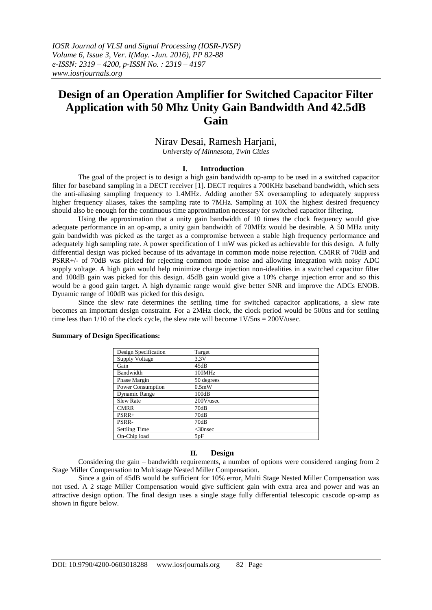*IOSR Journal of VLSI and Signal Processing (IOSR-JVSP) Volume 6, Issue 3, Ver. I(May. -Jun. 2016), PP 82-88 e-ISSN: 2319 – 4200, p-ISSN No. : 2319 – 4197 www.iosrjournals.org*

# **Design of an Operation Amplifier for Switched Capacitor Filter Application with 50 Mhz Unity Gain Bandwidth And 42.5dB Gain**

# Nirav Desai, Ramesh Harjani,

*University of Minnesota, Twin Cities*

### **I. Introduction**

The goal of the project is to design a high gain bandwidth op-amp to be used in a switched capacitor filter for baseband sampling in a DECT receiver [1]. DECT requires a 700KHz baseband bandwidth, which sets the anti-aliasing sampling frequency to 1.4MHz. Adding another 5X oversampling to adequately suppress higher frequency aliases, takes the sampling rate to 7MHz. Sampling at 10X the highest desired frequency should also be enough for the continuous time approximation necessary for switched capacitor filtering.

Using the approximation that a unity gain bandwidth of 10 times the clock frequency would give adequate performance in an op-amp, a unity gain bandwidth of 70MHz would be desirable. A 50 MHz unity gain bandwidth was picked as the target as a compromise between a stable high frequency performance and adequately high sampling rate. A power specification of 1 mW was picked as achievable for this design. A fully differential design was picked because of its advantage in common mode noise rejection. CMRR of 70dB and PSRR+/- of 70dB was picked for rejecting common mode noise and allowing integration with noisy ADC supply voltage. A high gain would help minimize charge injection non-idealities in a switched capacitor filter and 100dB gain was picked for this design. 45dB gain would give a 10% charge injection error and so this would be a good gain target. A high dynamic range would give better SNR and improve the ADCs ENOB. Dynamic range of 100dB was picked for this design.

Since the slew rate determines the settling time for switched capacitor applications, a slew rate becomes an important design constraint. For a 2MHz clock, the clock period would be 500ns and for settling time less than  $1/10$  of the clock cycle, the slew rate will become  $1\frac{V}{5}$ ns =  $200\frac{V}{use}$ .

| Design Specification     | Target     |
|--------------------------|------------|
| <b>Supply Voltage</b>    | 3.3V       |
| Gain                     | 45dB       |
| Bandwidth                | 100MHz     |
| Phase Margin             | 50 degrees |
| <b>Power Consumption</b> | $0.5m$ W   |
| Dynamic Range            | 100dB      |
| <b>Slew Rate</b>         | 200V/usec  |
| <b>CMRR</b>              | 70dB       |
| $PSRR+$                  | 70dB       |
| PSRR-                    | 70dB       |
| <b>Settling Time</b>     | $<$ 30nsec |
| On-Chip load             | 5pF        |

#### **Summary of Design Specifications:**

#### **II. Design**

Considering the gain – bandwidth requirements, a number of options were considered ranging from 2 Stage Miller Compensation to Multistage Nested Miller Compensation.

Since a gain of 45dB would be sufficient for 10% error, Multi Stage Nested Miller Compensation was not used. A 2 stage Miller Compensation would give sufficient gain with extra area and power and was an attractive design option. The final design uses a single stage fully differential telescopic cascode op-amp as shown in figure below.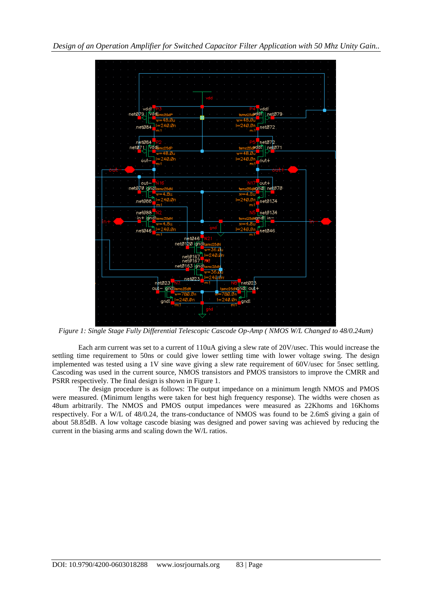

*Figure 1: Single Stage Fully Differential Telescopic Cascode Op-Amp ( NMOS W/L Changed to 48/0.24um)*

Each arm current was set to a current of 110uA giving a slew rate of 20V/usec. This would increase the settling time requirement to 50ns or could give lower settling time with lower voltage swing. The design implemented was tested using a 1V sine wave giving a slew rate requirement of 60V/usec for 5nsec settling. Cascoding was used in the current source, NMOS transistors and PMOS transistors to improve the CMRR and PSRR respectively. The final design is shown in Figure 1.

The design procedure is as follows: The output impedance on a minimum length NMOS and PMOS were measured. (Minimum lengths were taken for best high frequency response). The widths were chosen as 48um arbitrarily. The NMOS and PMOS output impedances were measured as 22Khoms and 16Khoms respectively. For a W/L of 48/0.24, the trans-conductance of NMOS was found to be 2.6mS giving a gain of about 58.85dB. A low voltage cascode biasing was designed and power saving was achieved by reducing the current in the biasing arms and scaling down the W/L ratios.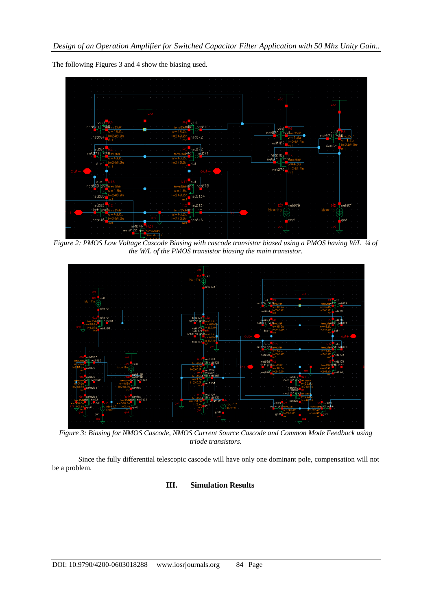

The following Figures 3 and 4 show the biasing used.

*Figure 2: PMOS Low Voltage Cascode Biasing with cascode transistor biased using a PMOS having W/L ¼ of the W/L of the PMOS transistor biasing the main transistor.*



*Figure 3: Biasing for NMOS Cascode, NMOS Current Source Cascode and Common Mode Feedback using triode transistors.*

Since the fully differential telescopic cascode will have only one dominant pole, compensation will not be a problem.

## **III. Simulation Results**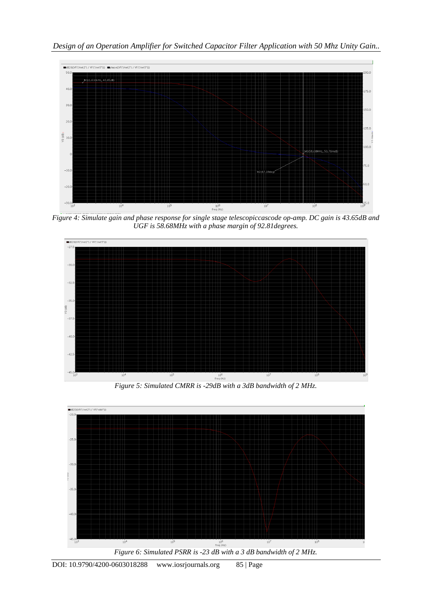

*Figure 4: Simulate gain and phase response for single stage telescopiccascode op-amp. DC gain is 43.65dB and UGF is 58.68MHz with a phase margin of 92.81degrees.*



*Figure 5: Simulated CMRR is -29dB with a 3dB bandwidth of 2 MHz.*



*Figure 6: Simulated PSRR is -23 dB with a 3 dB bandwidth of 2 MHz.*

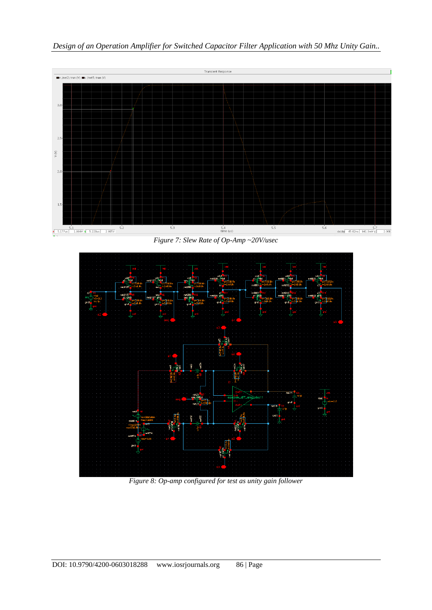

*Design of an Operation Amplifier for Switched Capacitor Filter Application with 50 Mhz Unity Gain..*

*Figure 7: Slew Rate of Op-Amp ~20V/usec*



*Figure 8: Op-amp configured for test as unity gain follower*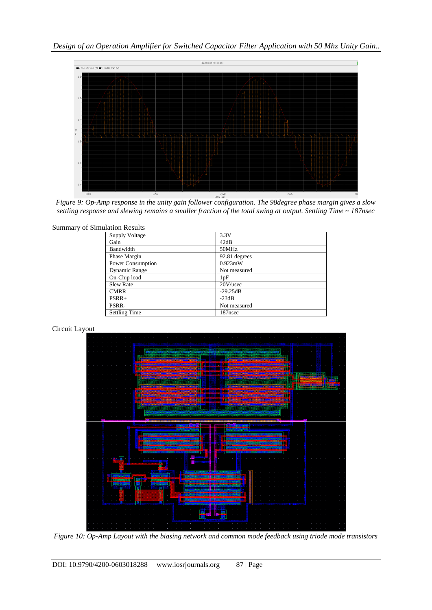

*Figure 9: Op-Amp response in the unity gain follower configuration. The 98degree phase margin gives a slow settling response and slewing remains a smaller fraction of the total swing at output. Settling Time ~ 187nsec*

| <b>Summary of Simulation Results</b> |                       |               |
|--------------------------------------|-----------------------|---------------|
|                                      | <b>Supply Voltage</b> | 3.3V          |
|                                      | Gain                  | 42dB          |
|                                      | Bandwidth             | 50MHz         |
|                                      | Phase Margin          | 92.81 degrees |
|                                      | Power Consumption     | $0.923$ mW    |
|                                      | Dynamic Range         | Not measured  |
|                                      | On-Chip load          | 1pF           |
|                                      | <b>Slew Rate</b>      | $20V$ /usec   |
|                                      | <b>CMRR</b>           | $-29.25dB$    |
|                                      | $PSRR+$               | $-23dB$       |
|                                      | PSRR-                 | Not measured  |
|                                      | <b>Settling Time</b>  | 187nsec       |





*Figure 10: Op-Amp Layout with the biasing network and common mode feedback using triode mode transistors*